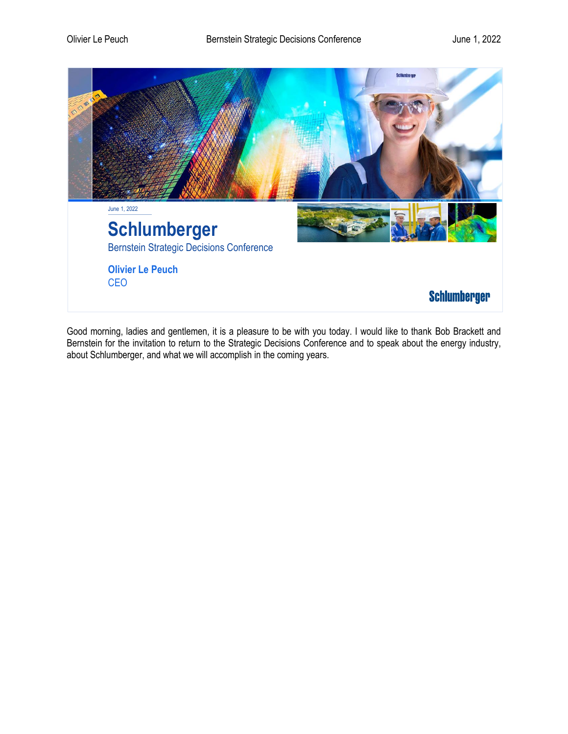

Good morning, ladies and gentlemen, it is a pleasure to be with you today. I would like to thank Bob Brackett and Bernstein for the invitation to return to the Strategic Decisions Conference and to speak about the energy industry, about Schlumberger, and what we will accomplish in the coming years.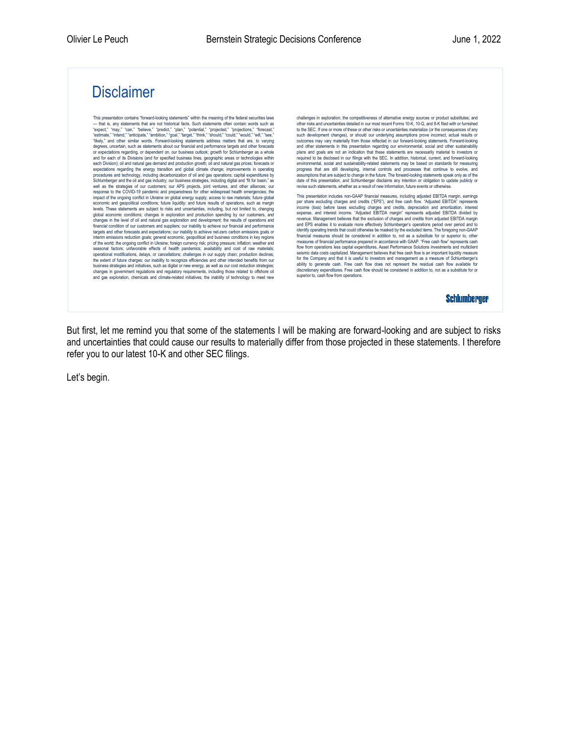## **Disclaimer**

This presentation contains "forward-looking statements" within the meaning of the federal securities laws — that is, any statements that are not historical facts. Such statements often contain words such as<br>"expect," "may, "can," "believe," "predict," "plan," "potential," "projected," "projections," "forecast,"<br>"estimate," "in and for each of its Divisions (and for specified business lines, geographic areas or technologies within<br>each Division); oil and natural gas demand and production growth; oil and natural gas prices; forecasts or<br>expectatio Schlumberger and the oil and gas industry; our business strategies, including digital and "fit for basin," as well as the strategies of our customers; our APS projects, joint ventures, and other alliances; our response to the COVID-19 pandemic and preparedness for other widespread health emergencies; the<br>impact of the ongoing conflict in Ukraine on global energy supply; access to raw materials; future global<br>economic and geopoli levels. These statements are subject to risks and uncertainties, including, but not limited to, changing<br>global economic conditions; changes in exploration and production spending by our customers, and<br>changes in the level financial condition of our customers and suppliers; our inability to achieve our financial and performance targets and other forecasts and expectations; our inability to achieve net-zero carbon emissions goals or<br>interim emissions reduction goals; general economic, geopolitical and business conditions in key regions<br>of the worl seasonal factors; unfavorable effects of health pandemics; availability and cost of raw materials; operational modifications, delays, or cancellations; challenges in our supply chain; production declines; the extent of future charges; our inability to recognize efficiencies and other intended benefits from our<br>business strategies and initiatives, such as digital or new energy, as well as our cost reduction strategies;<br>chang

challenges in exploration; the competitiveness of alternative energy sources or product substitutes; and other risks and uncertainties detailed in our most recent Forms 10-K, 10-Q, and 8-K filed with or furnished<br>to the SEC. If noe or more of these or other risks or uncertainties materialize (or the consequences of any<br>such d required to be disclosed in our filings with the SEC. In addition, historical, current, and forward-looking<br>environmental, social and sustainability-related statements may be based on standards for measuring<br>progress that assumptions that are subject to change in the future. The forward-looking statements speak only as of the date of this presentation, and Schlumberger disclaims any intention or obligation to update publicly or revise such statements, whether as a result of new information, future events or otherwise.

This presentation includes non-GAAP financial measures, including adjusted EBITDA margin, earnings per share excluding charges and credits ("EPS"), and free cash flow. "Adjusted EBITDA" represents<br>income (loss) before taxes excluding charges and credits, depreciation and amortization, interest<br>expense, and interest inco revenue. Management believes that the exclusion of charges and credits from adjusted EBITDA margin and EPS enables it to evaluate more effectively Schlumberger's operations period over period and to identify operating trends that could otherwise be masked by the excluded items. The foregoing non-GAAP financial measures should be considered in addition to, not as a substitute for or superior to, other measures of financial performance prepared in accordance with GAAP. "Free cash flow" represents cash<br>flow from operations less capital expenditures, Asset Performance Solutions investments and mutliclient<br>seismic data cost for the Company and that it is useful to investors and management as a measure of Schlumberger's ability to generate cash. Free cash flow does not represent the residual cash flow available for discretionary expenditures. Free cash flow should be considered in addition to, not as a substitute for or superior to, cash flow from operations.

**Schlumberger** 

But first, let me remind you that some of the statements I will be making are forward-looking and are subject to risks and uncertainties that could cause our results to materially differ from those projected in these statements. I therefore refer you to our latest 10-K and other SEC filings.

Let's begin.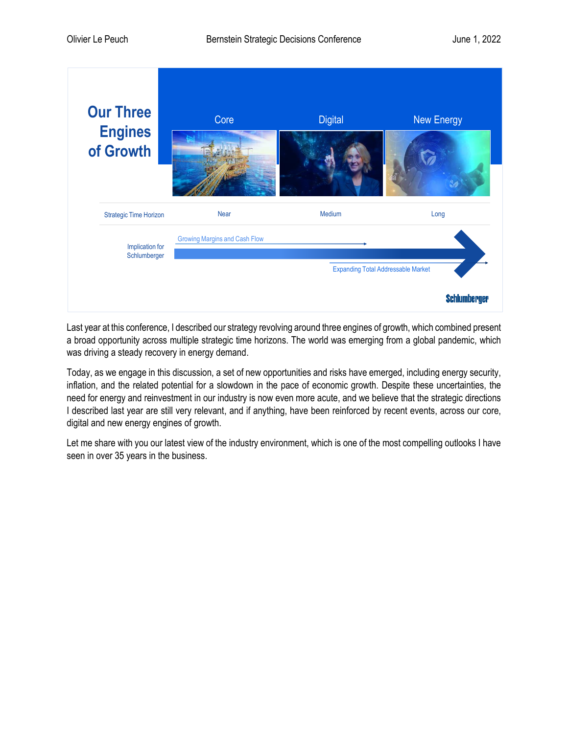

Last year at this conference, I described our strategy revolving around three engines of growth, which combined present a broad opportunity across multiple strategic time horizons. The world was emerging from a global pandemic, which was driving a steady recovery in energy demand.

Today, as we engage in this discussion, a set of new opportunities and risks have emerged, including energy security, inflation, and the related potential for a slowdown in the pace of economic growth. Despite these uncertainties, the need for energy and reinvestment in our industry is now even more acute, and we believe that the strategic directions I described last year are still very relevant, and if anything, have been reinforced by recent events, across our core, digital and new energy engines of growth.

Let me share with you our latest view of the industry environment, which is one of the most compelling outlooks I have seen in over 35 years in the business.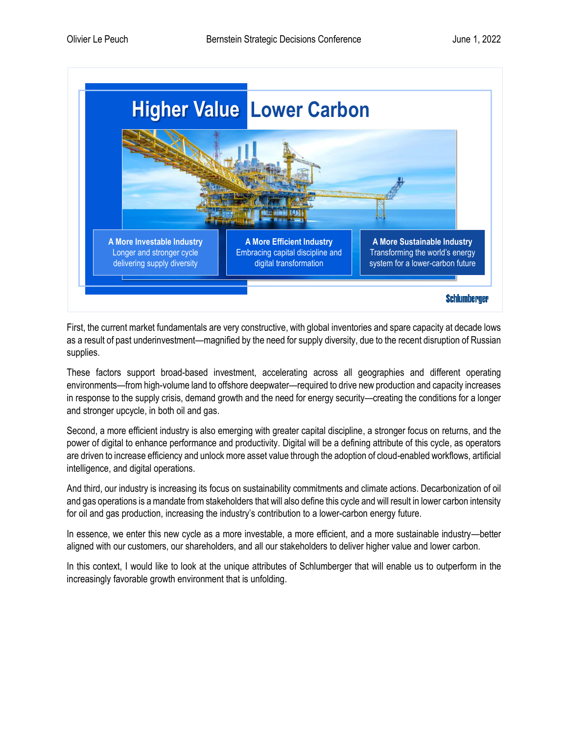

First, the current market fundamentals are very constructive, with global inventories and spare capacity at decade lows as a result of past underinvestment—magnified by the need for supply diversity, due to the recent disruption of Russian supplies.

These factors support broad-based investment, accelerating across all geographies and different operating environments—from high-volume land to offshore deepwater—required to drive new production and capacity increases in response to the supply crisis, demand growth and the need for energy security—creating the conditions for a longer and stronger upcycle, in both oil and gas.

Second, a more efficient industry is also emerging with greater capital discipline, a stronger focus on returns, and the power of digital to enhance performance and productivity. Digital will be a defining attribute of this cycle, as operators are driven to increase efficiency and unlock more asset value through the adoption of cloud-enabled workflows, artificial intelligence, and digital operations.

And third, our industry is increasing its focus on sustainability commitments and climate actions. Decarbonization of oil and gas operations is a mandate from stakeholders that will also define this cycle and will result in lower carbon intensity for oil and gas production, increasing the industry's contribution to a lower-carbon energy future.

In essence, we enter this new cycle as a more investable, a more efficient, and a more sustainable industry—better aligned with our customers, our shareholders, and all our stakeholders to deliver higher value and lower carbon.

In this context, I would like to look at the unique attributes of Schlumberger that will enable us to outperform in the increasingly favorable growth environment that is unfolding.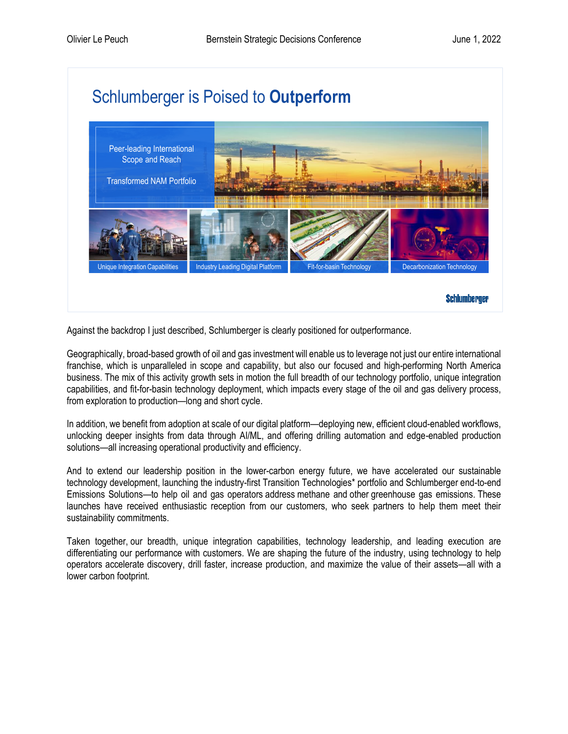

Against the backdrop I just described, Schlumberger is clearly positioned for outperformance.

Geographically, broad-based growth of oil and gas investment will enable us to leverage not just our entire international franchise, which is unparalleled in scope and capability, but also our focused and high-performing North America business. The mix of this activity growth sets in motion the full breadth of our technology portfolio, unique integration capabilities, and fit-for-basin technology deployment, which impacts every stage of the oil and gas delivery process, from exploration to production—long and short cycle.

In addition, we benefit from adoption at scale of our digital platform—deploying new, efficient cloud-enabled workflows, unlocking deeper insights from data through AI/ML, and offering drilling automation and edge-enabled production solutions—all increasing operational productivity and efficiency.

And to extend our leadership position in the lower-carbon energy future, we have accelerated our sustainable technology development, launching the industry-first Transition Technologies\* portfolio and Schlumberger end-to-end Emissions Solutions—to help oil and gas operators address methane and other greenhouse gas emissions. These launches have received enthusiastic reception from our customers, who seek partners to help them meet their sustainability commitments.

Taken together, our breadth, unique integration capabilities, technology leadership, and leading execution are differentiating our performance with customers. We are shaping the future of the industry, using technology to help operators accelerate discovery, drill faster, increase production, and maximize the value of their assets—all with a lower carbon footprint.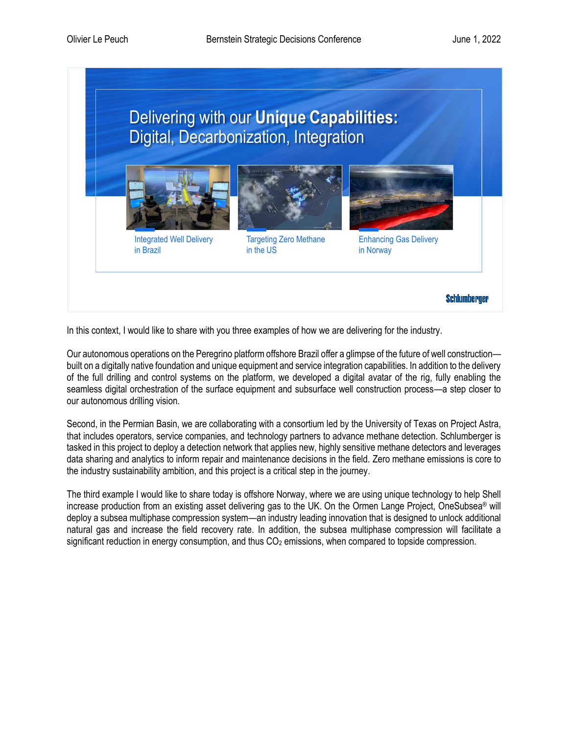

In this context, I would like to share with you three examples of how we are delivering for the industry.

Our autonomous operations on the Peregrino platform offshore Brazil offer a glimpse of the future of well construction built on a digitally native foundation and unique equipment and service integration capabilities. In addition to the delivery of the full drilling and control systems on the platform, we developed a digital avatar of the rig, fully enabling the seamless digital orchestration of the surface equipment and subsurface well construction process—a step closer to our autonomous drilling vision.

Second, in the Permian Basin, we are collaborating with a consortium led by the University of Texas on Project Astra, that includes operators, service companies, and technology partners to advance methane detection. Schlumberger is tasked in this project to deploy a detection network that applies new, highly sensitive methane detectors and leverages data sharing and analytics to inform repair and maintenance decisions in the field. Zero methane emissions is core to the industry sustainability ambition, and this project is a critical step in the journey.

The third example I would like to share today is offshore Norway, where we are using unique technology to help Shell increase production from an existing asset delivering gas to the UK. On the Ormen Lange Project, OneSubsea® will deploy a subsea multiphase compression system—an industry leading innovation that is designed to unlock additional natural gas and increase the field recovery rate. In addition, the subsea multiphase compression will facilitate a significant reduction in energy consumption, and thus  $CO<sub>2</sub>$  emissions, when compared to topside compression.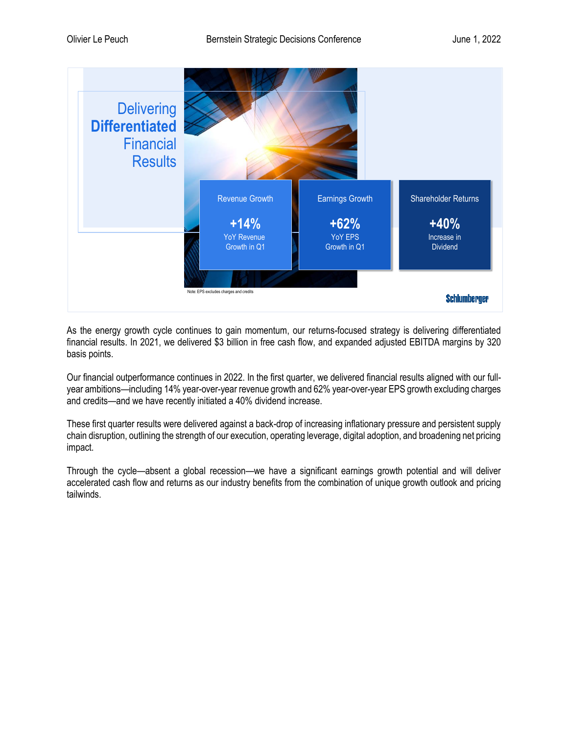

As the energy growth cycle continues to gain momentum, our returns-focused strategy is delivering differentiated financial results. In 2021, we delivered \$3 billion in free cash flow, and expanded adjusted EBITDA margins by 320 basis points.

Our financial outperformance continues in 2022. In the first quarter, we delivered financial results aligned with our fullyear ambitions—including 14% year-over-year revenue growth and 62% year-over-year EPS growth excluding charges and credits—and we have recently initiated a 40% dividend increase.

These first quarter results were delivered against a back-drop of increasing inflationary pressure and persistent supply chain disruption, outlining the strength of our execution, operating leverage, digital adoption, and broadening net pricing impact.

Through the cycle—absent a global recession—we have a significant earnings growth potential and will deliver accelerated cash flow and returns as our industry benefits from the combination of unique growth outlook and pricing tailwinds.